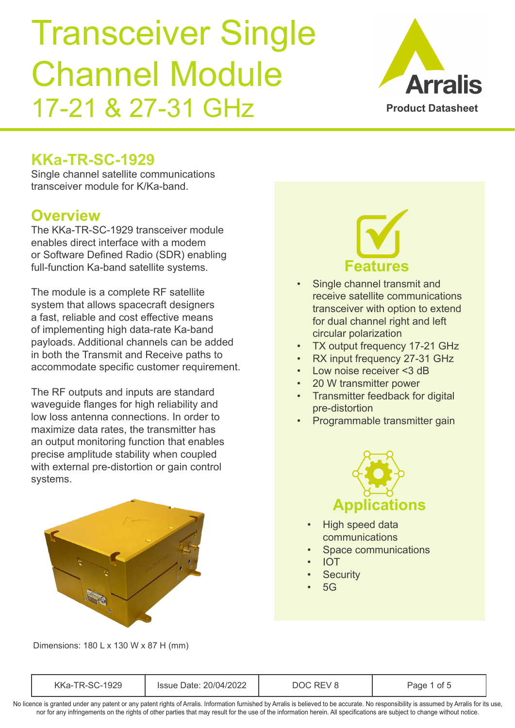

### **KKa-TR-SC-1929**

Single channel satellite communications transceiver module for K/Ka-band.

#### **Overview**

The KKa-TR-SC-1929 transceiver module enables direct interface with a modem or Software Defined Radio (SDR) enabling full-function Ka-band satellite systems.

The module is a complete RF satellite system that allows spacecraft designers a fast, reliable and cost effective means of implementing high data-rate Ka-band payloads. Additional channels can be added in both the Transmit and Receive paths to accommodate specific customer requirement.

The RF outputs and inputs are standard wavequide flanges for high reliability and low loss antenna connections. In order to maximize data rates, the transmitter has an output monitoring function that enables precise amplitude stability when coupled with external pre-distortion or gain control systems.



Dimensions: 180 L x 130 W x 87 H (mm)



- Single channel transmit and receive satellite communications transceiver with option to extend for dual channel right and left circular polarization
- TX output frequency 17-21 GHz
- RX input frequency 27-31 GHz
- Low noise receiver <3 dB
- 20 W transmitter power
- Transmitter feedback for digital pre-distortion
- Programmable transmitter gain



- High speed data communications
- Space communications
- IOT
- **Security**
- $5G$

| KKa<br>___ | 20/04<br>1715 | n | ot . |
|------------|---------------|---|------|
|------------|---------------|---|------|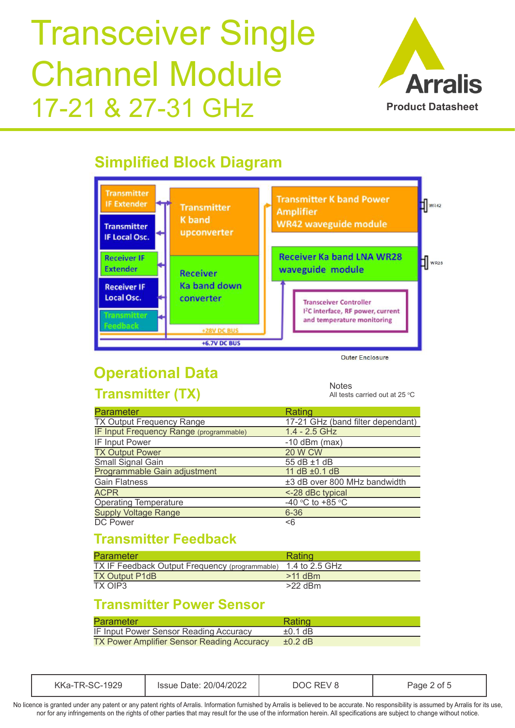

## **Simplified Block Diagram**



# **Operational Data**

**Transmitter (TX)**

**Notes** All tests carried out at 25  $\mathrm{^{\circ}C}$ 

| <b>Parameter</b>                        | Rating                            |
|-----------------------------------------|-----------------------------------|
| <b>TX Output Frequency Range</b>        | 17-21 GHz (band filter dependant) |
| IF Input Frequency Range (programmable) | $1.4 - 2.5$ GHz                   |
| IF Input Power                          | $-10$ dBm (max)                   |
| <b>TX Output Power</b>                  | <b>20 W CW</b>                    |
| Small Signal Gain                       | 55 dB ±1 dB                       |
| Programmable Gain adjustment            | 11 dB ±0.1 dB                     |
| <b>Gain Flatness</b>                    | ±3 dB over 800 MHz bandwidth      |
| <b>ACPR</b>                             | <-28 dBc typical                  |
| <b>Operating Temperature</b>            | $-40$ °C to +85 °C                |
| <b>Supply Voltage Range</b>             | $6 - 36$                          |
| <b>DC Power</b>                         | < 6                               |

### **Transmitter Feedback**

| <b>Parameter</b>                               | Rating         |
|------------------------------------------------|----------------|
| TX IF Feedback Output Frequency (programmable) | 1.4 to 2.5 GHz |
| <b>TX Output P1dB</b>                          | $>11$ dBm      |
| TX OIP3                                        | $>22$ dBm      |

#### **Transmitter Power Sensor**

| Parameter                                         | Rating       |
|---------------------------------------------------|--------------|
| IF Input Power Sensor Reading Accuracy            | $\pm 0.1$ dB |
| <b>TX Power Amplifier Sensor Reading Accuracy</b> | $\pm 0.2$ dB |

| KKa-TR-SC-1929 | Issue Date: 20/04/2022 | DOC REV 1 | Page 2 of 5 |  |
|----------------|------------------------|-----------|-------------|--|
|----------------|------------------------|-----------|-------------|--|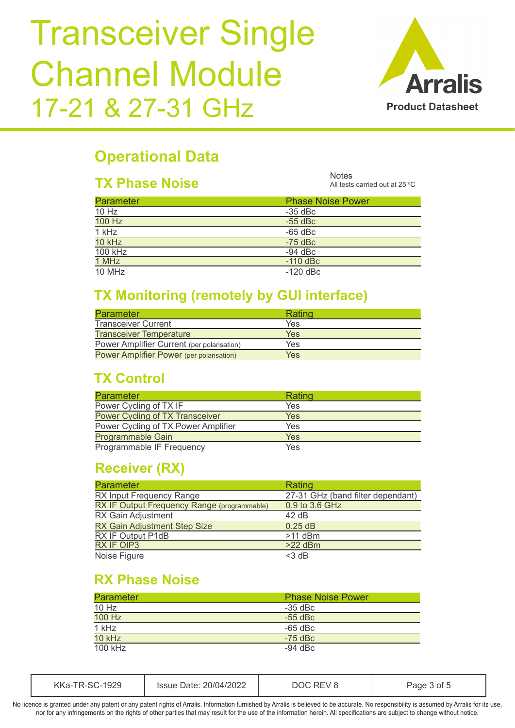

### **Operational Data**

#### **TX Phase Noise**

**Notes** All tests carried out at 25  $\degree$ C

| <b>Parameter</b> | <b>Phase Noise Power</b> |
|------------------|--------------------------|
| 10 Hz            | -35 dBc                  |
| 100 Hz           | $-55$ dBc                |
| 1 kHz            | $-65$ dBc                |
| 10 kHz           | $-75$ dBc                |
| 100 kHz          | $-94$ dBc                |
| 1 MHz            | $-110$ dBc               |
| 10 MHz           | $-120$ dBc               |
|                  |                          |

#### **TX Monitoring (remotely by GUI interface)**

| <b>Parameter</b>                           | Rating     |
|--------------------------------------------|------------|
| <b>Transceiver Current</b>                 | Yes        |
| <b>Transceiver Temperature</b>             | <b>Yes</b> |
| Power Amplifier Current (per polarisation) | Yes        |
| Power Amplifier Power (per polarisation)   | Yes        |

### **TX Control**

| <b>Parameter</b>                    | Rating     |
|-------------------------------------|------------|
| Power Cycling of TX IF              | Yes        |
| Power Cycling of TX Transceiver     | <b>Yes</b> |
| Power Cycling of TX Power Amplifier | Yes        |
| Programmable Gain                   | Yes        |
| Programmable IF Frequency           | Yes        |

#### **Receiver (RX)**

| <b>Parameter</b>                            | Rating                            |
|---------------------------------------------|-----------------------------------|
| RX Input Frequency Range                    | 27-31 GHz (band filter dependant) |
| RX IF Output Frequency Range (programmable) | 0.9 to 3.6 GHz                    |
| RX Gain Adjustment                          | 42 dB                             |
| <b>RX Gain Adjustment Step Size</b>         | $0.25$ dB                         |
| RX IF Output P1dB                           | $>11$ dBm                         |
| <b>RX IF OIP3</b>                           | $>22$ dBm                         |
| Noise Figure                                | $<$ 3 dB                          |

### **RX Phase Noise**

| <b>Parameter</b> | <b>Phase Noise Power</b> |
|------------------|--------------------------|
| 10 Hz            | $-35$ dBc                |
| 100 Hz           | $-55$ dBc                |
| 1 kHz            | $-65$ dBc                |
| 10 kHz           | $-75$ dBc                |
| $100$ kHz        | $-94$ dBc                |

| 201047<br>∖Ka·<br>)ate∙<br>ISSUA<br>M<br>-29<br>ממכ<br>11<br>____ |  |
|-------------------------------------------------------------------|--|
|-------------------------------------------------------------------|--|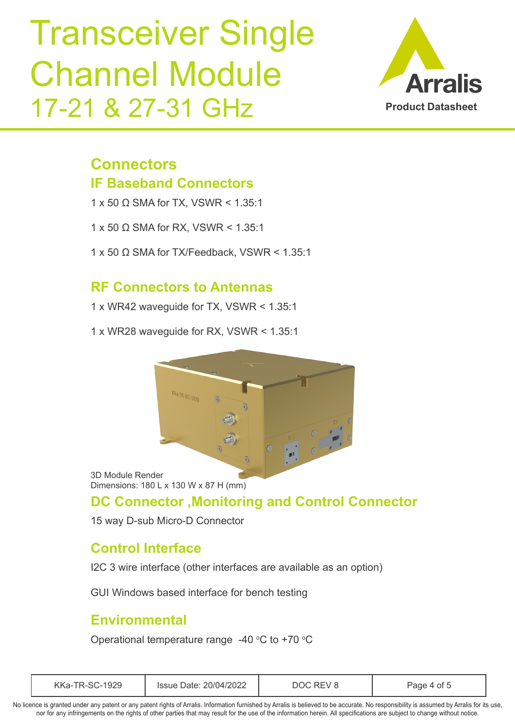

### **Connectors IF Baseband Connectors**

1 x 50  $\Omega$  SMA for TX, VSWR < 1.35:1

1 x 50  $\Omega$  SMA for RX, VSWR < 1.35:1

1 x 50  $\Omega$  SMA for TX/Feedback, VSWR < 1.35:1

#### **RF Connectors to Antennas**

1 x WR42 waveguide for TX, VSWR < 1.35:1

1 x WR28 waveguide for RX, VSWR < 1.35:1



3D Module Render Dimensions: 180 L x 130 W x 87 H (mm)

#### **DC Connector ,Monitoring and Control Connector**

15 way D-sub Micro-D Connector

#### **Control Interface**

I2C 3 wire interface (other interfaces are available as an option)

GUI Windows based interface for bench testing

#### **Environmental**

Operational temperature range -40  $\mathrm{^{\circ}C}$  to +70  $\mathrm{^{\circ}C}$ 

| 1929<br>Issue Date: 20/04/2022<br>KKa-TR-SC- | $\mathcal{U}$ | Page 4 of t |  |
|----------------------------------------------|---------------|-------------|--|
|----------------------------------------------|---------------|-------------|--|